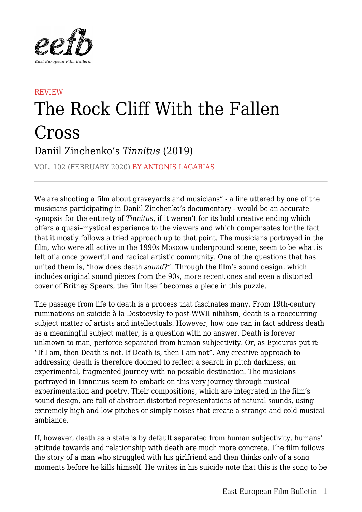

## **REVIEW** The Rock Cliff With the Fallen Cross Daniil Zinchenko's *Tinnitus* (2019)

VOL. 102 (FEBRUARY 2020) BY ANTONIS LAGARIAS

We are shooting a film about graveyards and musicians" - a line uttered by one of the musicians participating in Daniil Zinchenko's documentary - would be an accurate synopsis for the entirety of *Tinnitus*, if it weren't for its bold creative ending which offers a quasi–mystical experience to the viewers and which compensates for the fact that it mostly follows a tried approach up to that point. The musicians portrayed in the film, who were all active in the 1990s Moscow underground scene, seem to be what is left of a once powerful and radical artistic community. One of the questions that has united them is, "how does death *sound*?". Through the film's sound design, which includes original sound pieces from the 90s, more recent ones and even a distorted cover of Britney Spears, the film itself becomes a piece in this puzzle.

The passage from life to death is a process that fascinates many. From 19th-century ruminations on suicide à la Dostoevsky to post-WWII nihilism, death is a reoccurring subject matter of artists and intellectuals. However, how one can in fact address death as a meaningful subject matter, is a question with no answer. Death is forever unknown to man, perforce separated from human subjectivity. Or, as Epicurus put it: "If I am, then Death is not. If Death is, then I am not". Any creative approach to addressing death is therefore doomed to reflect a search in pitch darkness, an experimental, fragmented journey with no possible destination. The musicians portrayed in Tinnnitus seem to embark on this very journey through musical experimentation and poetry. Their compositions, which are integrated in the film's sound design, are full of abstract distorted representations of natural sounds, using extremely high and low pitches or simply noises that create a strange and cold musical ambiance.

If, however, death as a state is by default separated from human subjectivity, humans' attitude towards and relationship with death are much more concrete. The film follows the story of a man who struggled with his girlfriend and then thinks only of a song moments before he kills himself. He writes in his suicide note that this is the song to be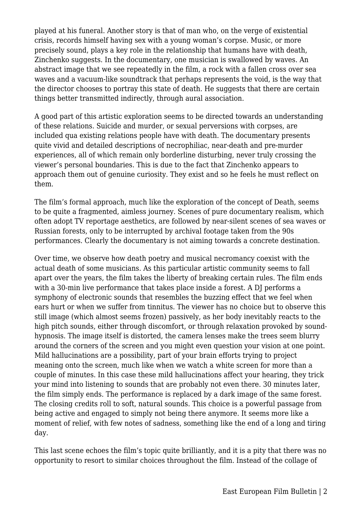played at his funeral. Another story is that of man who, on the verge of existential crisis, records himself having sex with a young woman's corpse. Music, or more precisely sound, plays a key role in the relationship that humans have with death, Zinchenko suggests. In the documentary, one musician is swallowed by waves. An abstract image that we see repeatedly in the film, a rock with a fallen cross over sea waves and a vacuum-like soundtrack that perhaps represents the void, is the way that the director chooses to portray this state of death. He suggests that there are certain things better transmitted indirectly, through aural association.

A good part of this artistic exploration seems to be directed towards an understanding of these relations. Suicide and murder, or sexual perversions with corpses, are included qua existing relations people have with death. The documentary presents quite vivid and detailed descriptions of necrophiliac, near-death and pre-murder experiences, all of which remain only borderline disturbing, never truly crossing the viewer's personal boundaries. This is due to the fact that Zinchenko appears to approach them out of genuine curiosity. They exist and so he feels he must reflect on them.

The film's formal approach, much like the exploration of the concept of Death, seems to be quite a fragmented, aimless journey. Scenes of pure documentary realism, which often adopt TV reportage aesthetics, are followed by near-silent scenes of sea waves or Russian forests, only to be interrupted by archival footage taken from the 90s performances. Clearly the documentary is not aiming towards a concrete destination.

Over time, we observe how death poetry and musical necromancy coexist with the actual death of some musicians. As this particular artistic community seems to fall apart over the years, the film takes the liberty of breaking certain rules. The film ends with a 30-min live performance that takes place inside a forest. A DJ performs a symphony of electronic sounds that resembles the buzzing effect that we feel when ears hurt or when we suffer from tinnitus. The viewer has no choice but to observe this still image (which almost seems frozen) passively, as her body inevitably reacts to the high pitch sounds, either through discomfort, or through relaxation provoked by soundhypnosis. The image itself is distorted, the camera lenses make the trees seem blurry around the corners of the screen and you might even question your vision at one point. Mild hallucinations are a possibility, part of your brain efforts trying to project meaning onto the screen, much like when we watch a white screen for more than a couple of minutes. In this case these mild hallucinations affect your hearing, they trick your mind into listening to sounds that are probably not even there. 30 minutes later, the film simply ends. The performance is replaced by a dark image of the same forest. The closing credits roll to soft, natural sounds. This choice is a powerful passage from being active and engaged to simply not being there anymore. It seems more like a moment of relief, with few notes of sadness, something like the end of a long and tiring day.

This last scene echoes the film's topic quite brilliantly, and it is a pity that there was no opportunity to resort to similar choices throughout the film. Instead of the collage of